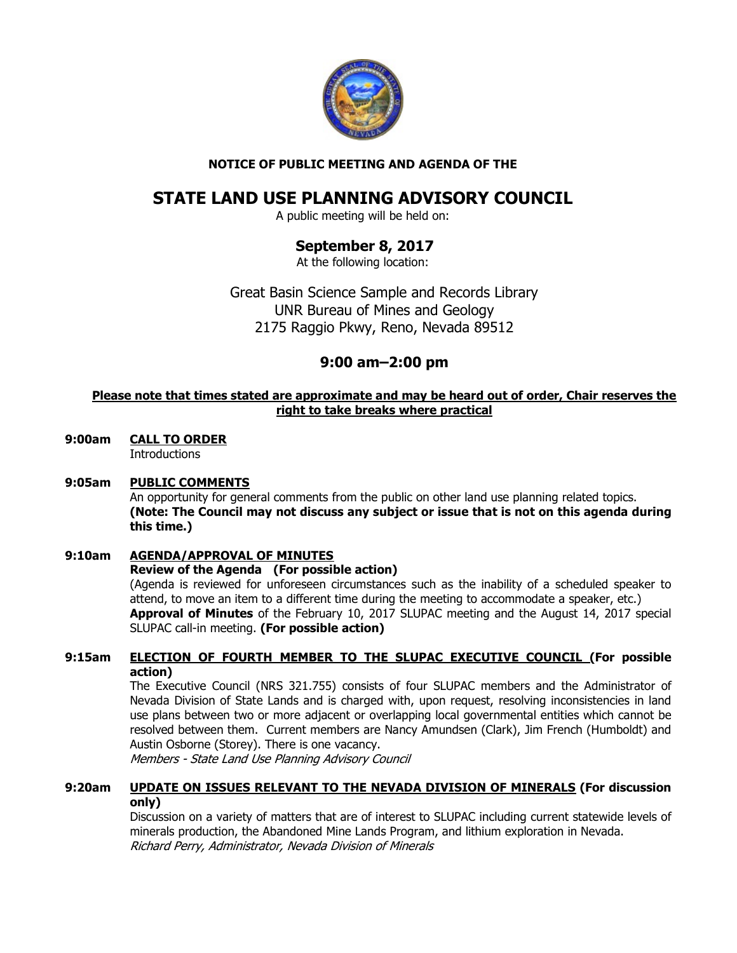

## NOTICE OF PUBLIC MEETING AND AGENDA OF THE

# STATE LAND USE PLANNING ADVISORY COUNCIL

A public meeting will be held on:

# September 8, 2017

At the following location:

Great Basin Science Sample and Records Library UNR Bureau of Mines and Geology 2175 Raggio Pkwy, Reno, Nevada 89512

## 9:00 am–2:00 pm

## Please note that times stated are approximate and may be heard out of order, Chair reserves the right to take breaks where practical

9:00am CALL TO ORDER

**Introductions** 

## 9:05am PUBLIC COMMENTS

An opportunity for general comments from the public on other land use planning related topics. (Note: The Council may not discuss any subject or issue that is not on this agenda during this time.)

## 9:10am AGENDA/APPROVAL OF MINUTES

#### Review of the Agenda (For possible action)

(Agenda is reviewed for unforeseen circumstances such as the inability of a scheduled speaker to attend, to move an item to a different time during the meeting to accommodate a speaker, etc.) **Approval of Minutes** of the February 10, 2017 SLUPAC meeting and the August 14, 2017 special SLUPAC call-in meeting. (For possible action)

## 9:15am ELECTION OF FOURTH MEMBER TO THE SLUPAC EXECUTIVE COUNCIL (For possible action)

The Executive Council (NRS 321.755) consists of four SLUPAC members and the Administrator of Nevada Division of State Lands and is charged with, upon request, resolving inconsistencies in land use plans between two or more adjacent or overlapping local governmental entities which cannot be resolved between them. Current members are Nancy Amundsen (Clark), Jim French (Humboldt) and Austin Osborne (Storey). There is one vacancy.

Members - State Land Use Planning Advisory Council

#### 9:20am UPDATE ON ISSUES RELEVANT TO THE NEVADA DIVISION OF MINERALS (For discussion only)

 Discussion on a variety of matters that are of interest to SLUPAC including current statewide levels of minerals production, the Abandoned Mine Lands Program, and lithium exploration in Nevada. Richard Perry, Administrator, Nevada Division of Minerals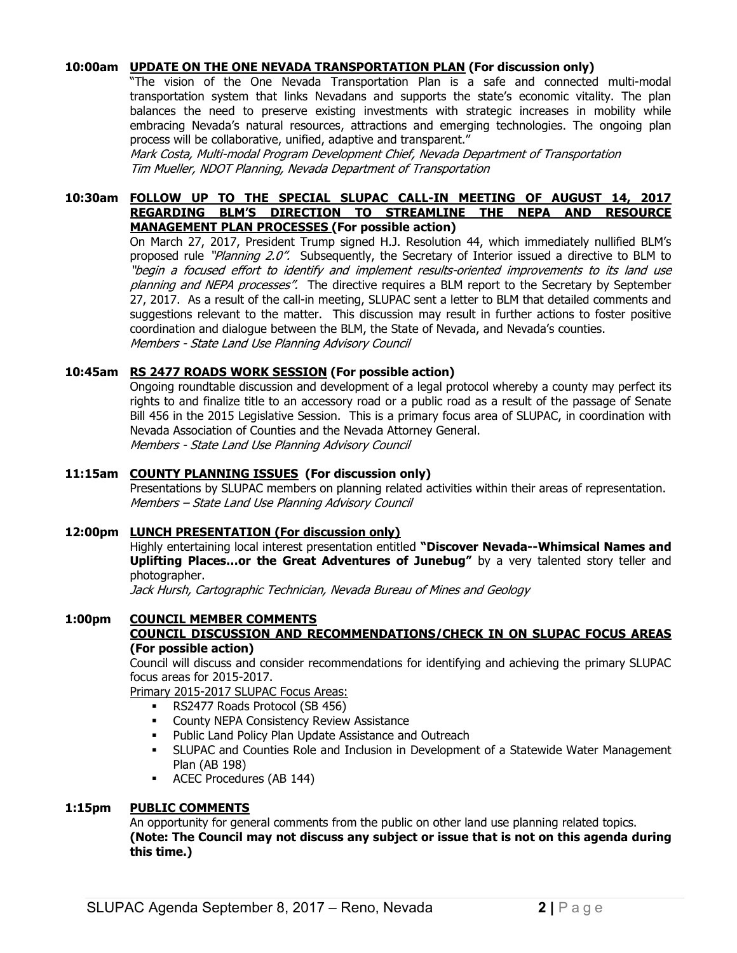#### 10:00am UPDATE ON THE ONE NEVADA TRANSPORTATION PLAN (For discussion only)

 "The vision of the One Nevada Transportation Plan is a safe and connected multi-modal transportation system that links Nevadans and supports the state's economic vitality. The plan balances the need to preserve existing investments with strategic increases in mobility while embracing Nevada's natural resources, attractions and emerging technologies. The ongoing plan process will be collaborative, unified, adaptive and transparent."

 Mark Costa, Multi-modal Program Development Chief, Nevada Department of Transportation Tim Mueller, NDOT Planning, Nevada Department of Transportation

#### 10:30am FOLLOW UP TO THE SPECIAL SLUPAC CALL-IN MEETING OF AUGUST 14, 2017 REGARDING BLM'S DIRECTION TO STREAMLINE THE NEPA AND RESOURCE MANAGEMENT PLAN PROCESSES (For possible action)

On March 27, 2017, President Trump signed H.J. Resolution 44, which immediately nullified BLM's proposed rule "Planning 2.0". Subsequently, the Secretary of Interior issued a directive to BLM to "begin a focused effort to identify and implement results-oriented improvements to its land use planning and NEPA processes". The directive requires a BLM report to the Secretary by September 27, 2017. As a result of the call-in meeting, SLUPAC sent a letter to BLM that detailed comments and suggestions relevant to the matter. This discussion may result in further actions to foster positive coordination and dialogue between the BLM, the State of Nevada, and Nevada's counties. Members - State Land Use Planning Advisory Council

#### 10:45am RS 2477 ROADS WORK SESSION (For possible action)

 Ongoing roundtable discussion and development of a legal protocol whereby a county may perfect its rights to and finalize title to an accessory road or a public road as a result of the passage of Senate Bill 456 in the 2015 Legislative Session. This is a primary focus area of SLUPAC, in coordination with Nevada Association of Counties and the Nevada Attorney General. Members - State Land Use Planning Advisory Council

#### 11:15am COUNTY PLANNING ISSUES (For discussion only)

Presentations by SLUPAC members on planning related activities within their areas of representation. Members – State Land Use Planning Advisory Council

#### 12:00pm LUNCH PRESENTATION (For discussion only)

Highly entertaining local interest presentation entitled "Discover Nevada--Whimsical Names and Uplifting Places...or the Great Adventures of Junebug" by a very talented story teller and photographer.

Jack Hursh, Cartographic Technician, Nevada Bureau of Mines and Geology

#### 1:00pm COUNCIL MEMBER COMMENTS

#### COUNCIL DISCUSSION AND RECOMMENDATIONS/CHECK IN ON SLUPAC FOCUS AREAS (For possible action)

Council will discuss and consider recommendations for identifying and achieving the primary SLUPAC focus areas for 2015-2017.

Primary 2015-2017 SLUPAC Focus Areas:

- **RS2477 Roads Protocol (SB 456)**
- **County NEPA Consistency Review Assistance**
- **Public Land Policy Plan Update Assistance and Outreach**
- SLUPAC and Counties Role and Inclusion in Development of a Statewide Water Management Plan (AB 198)
- ACEC Procedures (AB 144)

#### 1:15pm PUBLIC COMMENTS

An opportunity for general comments from the public on other land use planning related topics. (Note: The Council may not discuss any subject or issue that is not on this agenda during this time.)